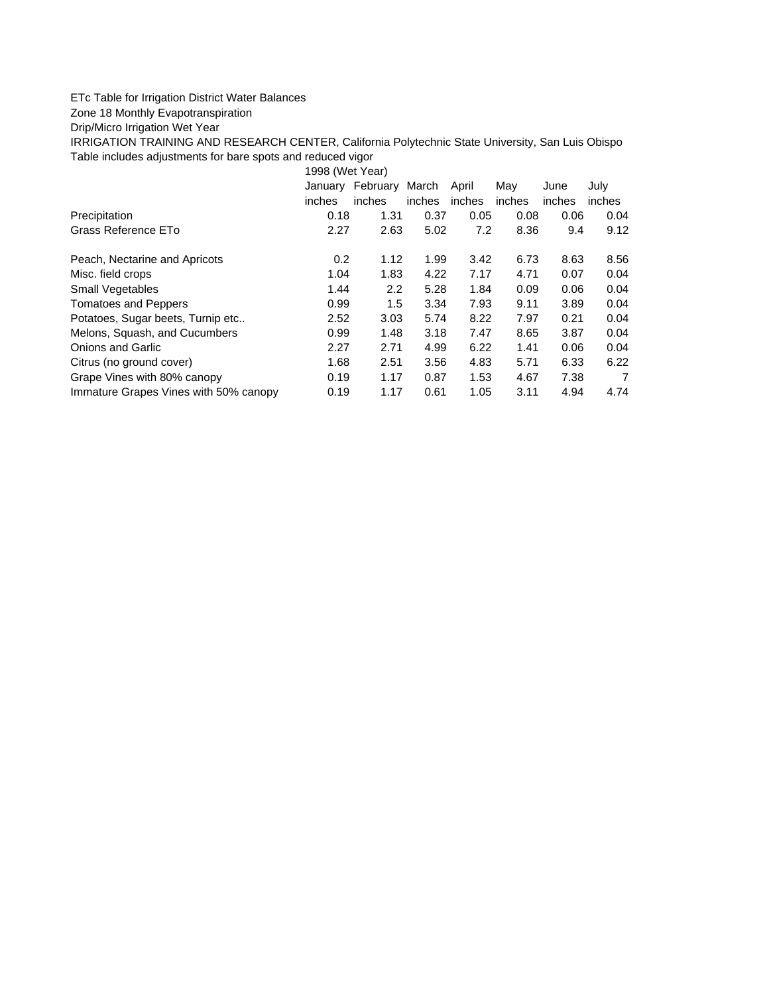## ETc Table for Irrigation District Water Balances

## Zone 18 Monthly Evapotranspiration

## Drip/Micro Irrigation Wet Year

IRRIGATION TRAINING AND RESEARCH CENTER, California Polytechnic State University, San Luis Obispo Table includes adjustments for bare spots and reduced vigor

1998 (Wet Year)

|                                       | January | February | March  | April  | May    | June   | July   |
|---------------------------------------|---------|----------|--------|--------|--------|--------|--------|
|                                       | inches  | inches   | inches | inches | inches | inches | inches |
| Precipitation                         | 0.18    | 1.31     | 0.37   | 0.05   | 0.08   | 0.06   | 0.04   |
| Grass Reference ETo                   | 2.27    | 2.63     | 5.02   | 7.2    | 8.36   | 9.4    | 9.12   |
| Peach, Nectarine and Apricots         | 0.2     | 1.12     | 1.99   | 3.42   | 6.73   | 8.63   | 8.56   |
| Misc. field crops                     | 1.04    | 1.83     | 4.22   | 7.17   | 4.71   | 0.07   | 0.04   |
| Small Vegetables                      | 1.44    | 2.2      | 5.28   | 1.84   | 0.09   | 0.06   | 0.04   |
| <b>Tomatoes and Peppers</b>           | 0.99    | 1.5      | 3.34   | 7.93   | 9.11   | 3.89   | 0.04   |
| Potatoes, Sugar beets, Turnip etc     | 2.52    | 3.03     | 5.74   | 8.22   | 7.97   | 0.21   | 0.04   |
| Melons, Squash, and Cucumbers         | 0.99    | 1.48     | 3.18   | 7.47   | 8.65   | 3.87   | 0.04   |
| <b>Onions and Garlic</b>              | 2.27    | 2.71     | 4.99   | 6.22   | 1.41   | 0.06   | 0.04   |
| Citrus (no ground cover)              | 1.68    | 2.51     | 3.56   | 4.83   | 5.71   | 6.33   | 6.22   |
| Grape Vines with 80% canopy           | 0.19    | 1.17     | 0.87   | 1.53   | 4.67   | 7.38   | 7      |
| Immature Grapes Vines with 50% canopy | 0.19    | 1.17     | 0.61   | 1.05   | 3.11   | 4.94   | 4.74   |